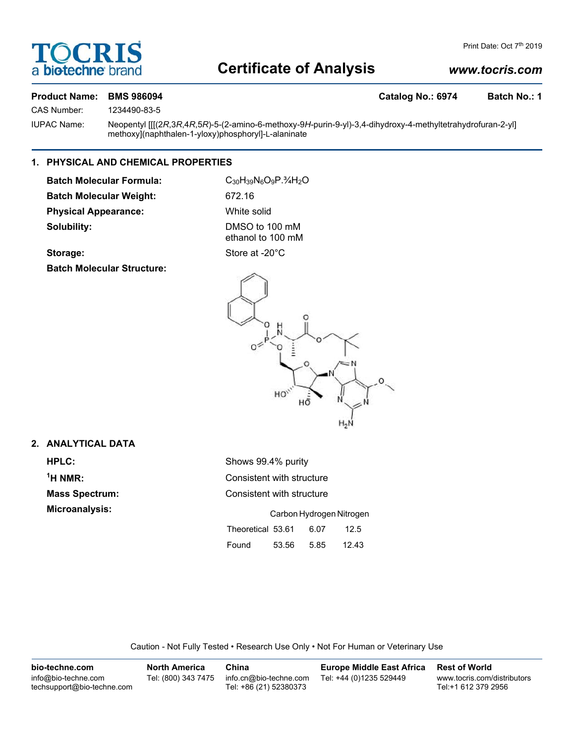

# **Certificate of Analysis**

### *www.tocris.com*

### **Product Name: BMS 986094 Catalog No.: 6974 Batch No.: 1**

CAS Number: 1234490-83-5

IUPAC Name: Neopentyl [[[(2*R*,3*R*,4*R*,5*R*)-5-(2-amino-6-methoxy-9*H*-purin-9-yl)-3,4-dihydroxy-4-methyltetrahydrofuran-2-yl] methoxy](naphthalen-1-yloxy)phosphoryl]-L-alaninate

### **1. PHYSICAL AND CHEMICAL PROPERTIES**

Batch Molecular Formula: C<sub>30</sub>H<sub>39</sub>N<sub>6</sub>O<sub>9</sub>P.<sup>3</sup>/<sub>4</sub>H<sub>2</sub>O **Batch Molecular Weight:** 672.16 **Physical Appearance:** White solid **Solubility:** DMSO to 100 mM

ethanol to 100 mM

Storage: Store at -20°C

**Batch Molecular Structure:**



### **2. ANALYTICAL DATA**

 $<sup>1</sup>H NMR$ :</sup>

**HPLC:** Shows 99.4% purity **Consistent with structure Mass Spectrum:** Consistent with structure **Microanalysis:** Carbon Hydrogen Nitrogen Theoretical 53.61 6.07 12.5 Found 53.56 5.85 12.43

Caution - Not Fully Tested • Research Use Only • Not For Human or Veterinary Use

| bio-techne.com                                    | <b>North America</b> | China                                            | Europe Middle East Africa | <b>Rest of World</b>                               |
|---------------------------------------------------|----------------------|--------------------------------------------------|---------------------------|----------------------------------------------------|
| info@bio-techne.com<br>techsupport@bio-techne.com | Tel: (800) 343 7475  | info.cn@bio-techne.com<br>Tel: +86 (21) 52380373 | Tel: +44 (0)1235 529449   | www.tocris.com/distributors<br>Tel:+1 612 379 2956 |